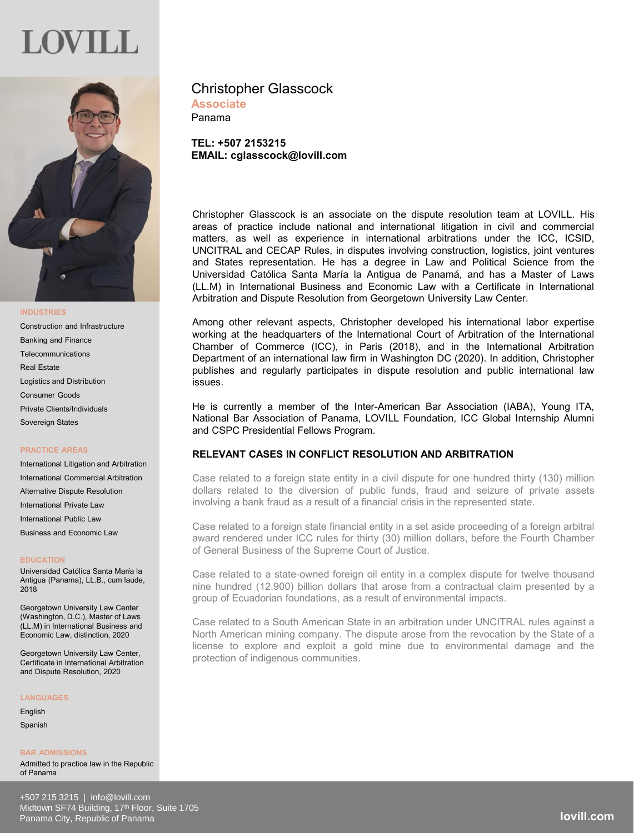## JOV I LE



## **INDUSTRIES**

Construction and Infrastructure Banking and Finance Telecommunications Real Estate Logistics and Distribution Consumer Goods Private Clients/Individuals Sovereign States

## **PRACTICE AREAS**

International Litigation and Arbitration International Commercial Arbitration Alternative Dispute Resolution International Private Law International Public Law Business and Economic Law

## **EDUCATION**

Universidad Católica Santa María la Antigua (Panama), LL.B., cum laude, 2018

Georgetown University Law Center (Washington, D.C.), Master of Laws  $(1 + M)$  in International Business and Economic Law, distinction, 2020

Georgetown University Law Center, Certificate in International Arbitration and Dispute Resolution, 2020

### **LANGUAGES**

English **Spanish** 

**BAR ADMISSIONS** Admitted to practice law in the Republic of Panama

## Christopher Glasscock **Associate**

Panama

**TEL: +507 2153215 EMAIL: cglasscock@lovill.com**

Christopher Glasscock is an associate on the dispute resolution team at LOVILL. His areas of practice include national and international litigation in civil and commercial matters, as well as experience in international arbitrations under the ICC, ICSID, UNCITRAL and CECAP Rules, in disputes involving construction, logistics, joint ventures and States representation. He has a degree in Law and Political Science from the Universidad Católica Santa María la Antigua de Panamá, and has a Master of Laws (LL.M) in International Business and Economic Law with a Certificate in International Arbitration and Dispute Resolution from Georgetown University Law Center.

Among other relevant aspects, Christopher developed his international labor expertise working at the headquarters of the International Court of Arbitration of the International Chamber of Commerce (ICC), in Paris (2018), and in the International Arbitration Department of an international law firm in Washington DC (2020). In addition, Christopher publishes and regularly participates in dispute resolution and public international law issues.

He is currently a member of the Inter-American Bar Association (IABA), Young ITA, National Bar Association of Panama, LOVILL Foundation, ICC Global Internship Alumni and CSPC Presidential Fellows Program.

## **RELEVANT CASES IN CONFLICT RESOLUTION AND ARBITRATION**

Case related to a foreign state entity in a civil dispute for one hundred thirty (130) million dollars related to the diversion of public funds, fraud and seizure of private assets involving a bank fraud as a result of a financial crisis in the represented state.

Case related to a foreign state financial entity in a set aside proceeding of a foreign arbitral award rendered under ICC rules for thirty (30) million dollars, before the Fourth Chamber of General Business of the Supreme Court of Justice.

Case related to a state-owned foreign oil entity in a complex dispute for twelve thousand nine hundred (12.900) billion dollars that arose from a contractual claim presented by a group of Ecuadorian foundations, as a result of environmental impacts.

Case related to a South American State in an arbitration under UNCITRAL rules against a North American mining company. The dispute arose from the revocation by the State of a license to explore and exploit a gold mine due to environmental damage and the protection of indigenous communities.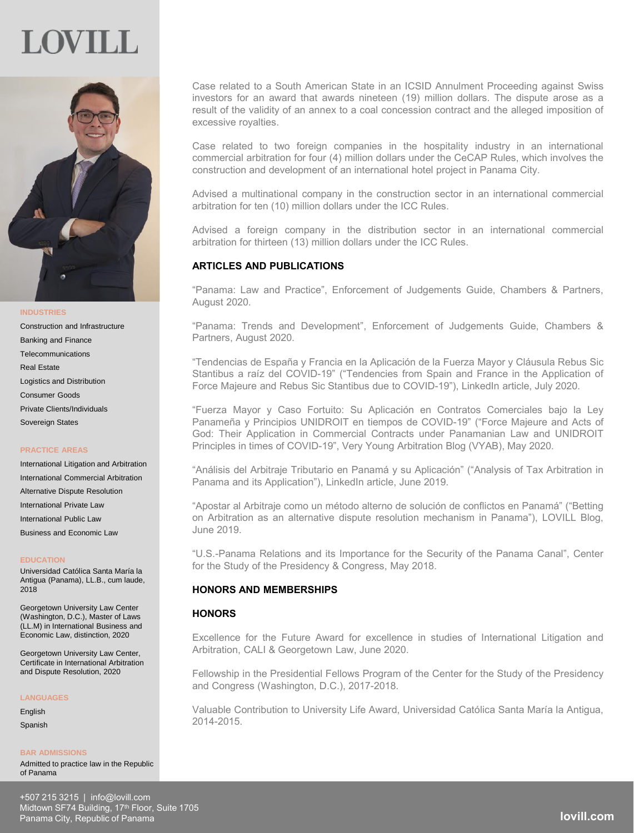## LOVILL



**INDUSTRIES**

Construction and Infrastructure Banking and Finance **Telecommunications** Real Estate Logistics and Distribution Consumer Goods Private Clients/Individuals Sovereign States

## **PRACTICE AREAS**

International Litigation and Arbitration International Commercial Arbitration Alternative Dispute Resolution International Private Law International Public Law Business and Economic Law

#### **EDUCATION**

Universidad Católica Santa María la Antigua (Panama), LL.B., cum laude, 2018

Georgetown University Law Center (Washington, D.C.), Master of Laws (LL.M) in International Business and Economic Law, distinction, 2020

Georgetown University Law Center, Certificate in International Arbitration and Dispute Resolution, 2020

### **LANGUAGES**

English **Spanish** 

#### **BAR ADMISSIONS**

Admitted to practice law in the Republic of Panama

Case related to a South American State in an ICSID Annulment Proceeding against Swiss investors for an award that awards nineteen (19) million dollars. The dispute arose as a result of the validity of an annex to a coal concession contract and the alleged imposition of excessive royalties.

Case related to two foreign companies in the hospitality industry in an international commercial arbitration for four (4) million dollars under the CeCAP Rules, which involves the construction and development of an international hotel project in Panama City.

Advised a multinational company in the construction sector in an international commercial arbitration for ten (10) million dollars under the ICC Rules.

Advised a foreign company in the distribution sector in an international commercial arbitration for thirteen (13) million dollars under the ICC Rules.

## **ARTICLES AND PUBLICATIONS**

"Panama: Law and Practice", Enforcement of Judgements Guide, Chambers & Partners, August 2020.

"Panama: Trends and Development", Enforcement of Judgements Guide, Chambers & Partners, August 2020.

"Tendencias de España y Francia en la Aplicación de la Fuerza Mayor y Cláusula Rebus Sic Stantibus a raíz del COVID-19" ("Tendencies from Spain and France in the Application of Force Majeure and Rebus Sic Stantibus due to COVID-19"), LinkedIn article, July 2020.

"Fuerza Mayor y Caso Fortuito: Su Aplicación en Contratos Comerciales bajo la Ley Panameña y Principios UNIDROIT en tiempos de COVID-19" ("Force Majeure and Acts of God: Their Application in Commercial Contracts under Panamanian Law and UNIDROIT Principles in times of COVID-19", Very Young Arbitration Blog (VYAB), May 2020.

"Análisis del Arbitraje Tributario en Panamá y su Aplicación" ("Analysis of Tax Arbitration in Panama and its Application"), LinkedIn article, June 2019.

"Apostar al Arbitraje como un método alterno de solución de conflictos en Panamá" ("Betting on Arbitration as an alternative dispute resolution mechanism in Panama"), LOVILL Blog, June 2019.

"U.S.-Panama Relations and its Importance for the Security of the Panama Canal", Center for the Study of the Presidency & Congress, May 2018.

## **HONORS AND MEMBERSHIPS**

## **HONORS**

Excellence for the Future Award for excellence in studies of International Litigation and Arbitration, CALI & Georgetown Law, June 2020.

Fellowship in the Presidential Fellows Program of the Center for the Study of the Presidency and Congress (Washington, D.C.), 2017-2018.

Valuable Contribution to University Life Award, Universidad Católica Santa María la Antigua, 2014-2015.